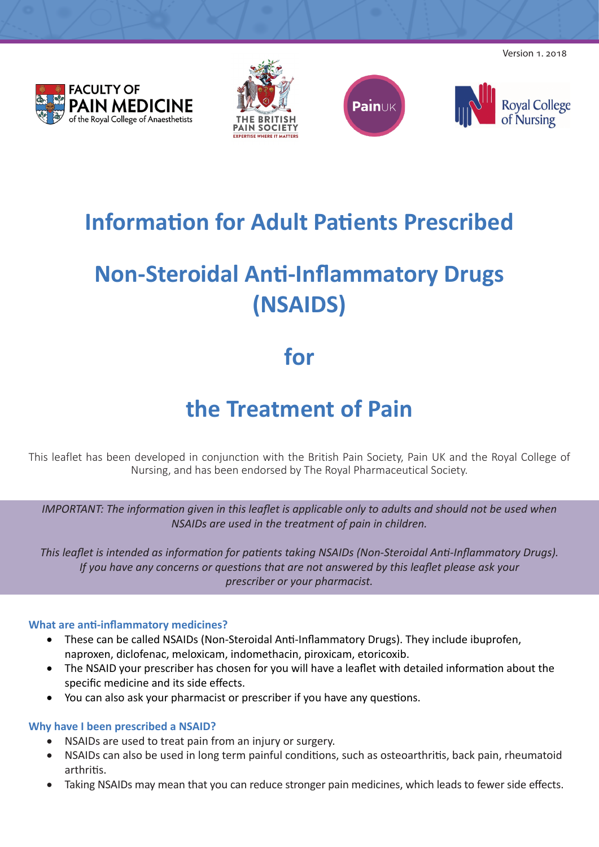**FACULTY OF PAIN MEDICINE** of the Royal College of Anaesthetists







Version 1. 2018

# **Information for Adult Patients Prescribed**

# **Non-Steroidal Anti-Inflammatory Drugs (NSAIDS)**

### **for**

## **the Treatment of Pain**

This leaflet has been developed in conjunction with the British Pain Society, Pain UK and the Royal College of Nursing, and has been endorsed by The Royal Pharmaceutical Society.

*IMPORTANT: The information given in this leaflet is applicable only to adults and should not be used when NSAIDs are used in the treatment of pain in children.*

*This leaflet is intended as information for patients taking NSAIDs (Non-Steroidal Anti-Inflammatory Drugs). If you have any concerns or questions that are not answered by this leaflet please ask your prescriber or your pharmacist.*

#### **What are anti-inflammatory medicines?**

- These can be called NSAIDs (Non-Steroidal Anti-Inflammatory Drugs). They include ibuprofen, naproxen, diclofenac, meloxicam, indomethacin, piroxicam, etoricoxib.
- The NSAID your prescriber has chosen for you will have a leaflet with detailed information about the specific medicine and its side effects.
- You can also ask your pharmacist or prescriber if you have any questions.

#### **Why have I been prescribed a NSAID?**

- NSAIDs are used to treat pain from an injury or surgery.
- NSAIDs can also be used in long term painful conditions, such as osteoarthritis, back pain, rheumatoid arthritis.
- Taking NSAIDs may mean that you can reduce stronger pain medicines, which leads to fewer side effects.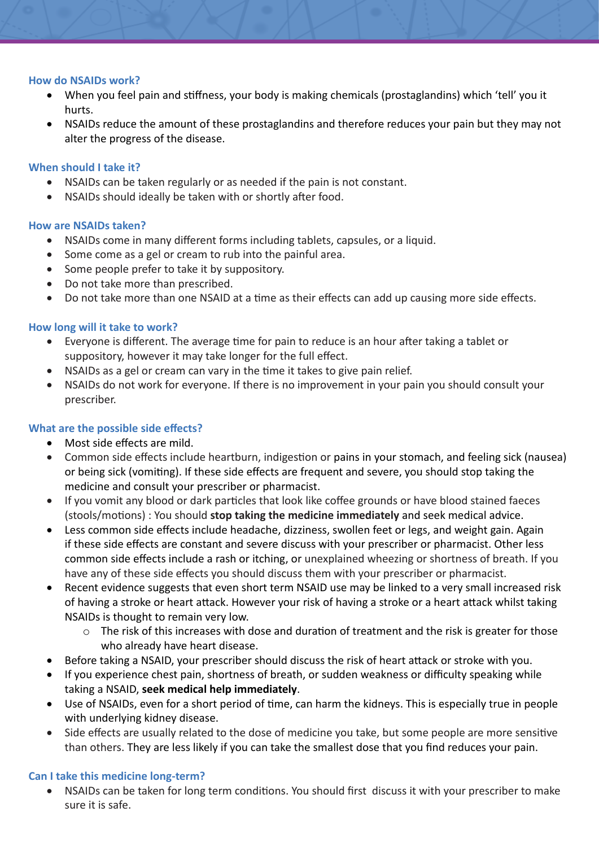#### **How do NSAIDs work?**

- When you feel pain and stiffness, your body is making chemicals (prostaglandins) which 'tell' you it hurts.
- NSAIDs reduce the amount of these prostaglandins and therefore reduces your pain but they may not alter the progress of the disease.

#### **When should I take it?**

- NSAIDs can be taken regularly or as needed if the pain is not constant.
- NSAIDs should ideally be taken with or shortly after food.

#### **How are NSAIDs taken?**

- NSAIDs come in many different forms including tablets, capsules, or a liquid.
- Some come as a gel or cream to rub into the painful area.
- Some people prefer to take it by suppository.
- Do not take more than prescribed.
- Do not take more than one NSAID at a time as their effects can add up causing more side effects.

#### **How long will it take to work?**

- Everyone is different. The average time for pain to reduce is an hour after taking a tablet or suppository, however it may take longer for the full effect.
- NSAIDs as a gel or cream can vary in the time it takes to give pain relief.
- NSAIDs do not work for everyone. If there is no improvement in your pain you should consult your prescriber.

#### **What are the possible side effects?**

- Most side effects are mild.
- Common side effects include heartburn, indigestion or pains in your stomach, and feeling sick (nausea) or being sick (vomiting). If these side effects are frequent and severe, you should stop taking the medicine and consult your prescriber or pharmacist.
- If you vomit any blood or dark particles that look like coffee grounds or have blood stained faeces (stools/motions) : You should **stop taking the medicine immediately** and seek medical advice.
- Less common side effects include headache, dizziness, swollen feet or legs, and weight gain. Again if these side effects are constant and severe discuss with your prescriber or pharmacist. Other less common side effects include a rash or itching, or unexplained wheezing or shortness of breath. If you have any of these side effects you should discuss them with your prescriber or pharmacist.
- Recent evidence suggests that even short term NSAID use may be linked to a very small increased risk of having a stroke or heart attack. However your risk of having a stroke or a heart attack whilst taking NSAIDs is thought to remain very low.
	- o The risk of this increases with dose and duration of treatment and the risk is greater for those who already have heart disease.
- Before taking a NSAID, your prescriber should discuss the risk of heart attack or stroke with you.
- If you experience chest pain, shortness of breath, or sudden weakness or difficulty speaking while taking a NSAID, **seek medical help immediately**.
- Use of NSAIDs, even for a short period of time, can harm the kidneys. This is especially true in people with underlying kidney disease.
- Side effects are usually related to the dose of medicine you take, but some people are more sensitive than others. They are less likely if you can take the smallest dose that you find reduces your pain.

#### **Can I take this medicine long-term?**

NSAIDs can be taken for long term conditions. You should first discuss it with your prescriber to make sure it is safe.